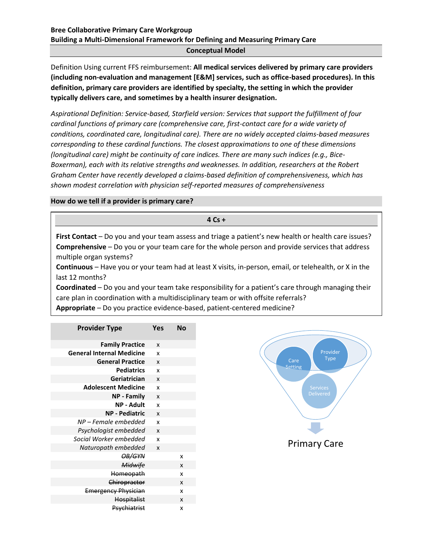### **Conceptual Model**

Definition Using current FFS reimbursement: **All medical services delivered by primary care providers (including non-evaluation and management [E&M] services, such as office-based procedures). In this definition, primary care providers are identified by specialty, the setting in which the provider typically delivers care, and sometimes by a health insurer designation.**

*Aspirational Definition: Service-based, Starfield version: Services that support the fulfillment of four cardinal functions of primary care (comprehensive care, first-contact care for a wide variety of conditions, coordinated care, longitudinal care). There are no widely accepted claims-based measures corresponding to these cardinal functions. The closest approximations to one of these dimensions (longitudinal care) might be continuity of care indices. There are many such indices (e.g., Bice-Boxerman), each with its relative strengths and weaknesses. In addition, researchers at the Robert Graham Center have recently developed a claims-based definition of comprehensiveness, which has shown modest correlation with physician self-reported measures of comprehensiveness*

### **How do we tell if a provider is primary care?**

**4 Cs +**

**First Contact** – Do you and your team assess and triage a patient's new health or health care issues? **Comprehensive** – Do you or your team care for the whole person and provide services that address multiple organ systems?

**Continuous** – Have you or your team had at least X visits, in-person, email, or telehealth, or X in the last 12 months?

**Coordinated** – Do you and your team take responsibility for a patient's care through managing their care plan in coordination with a multidisciplinary team or with offsite referrals?

**Appropriate** – Do you practice evidence-based, patient-centered medicine?

| <b>Provider Type</b>             | Yes                       | No |
|----------------------------------|---------------------------|----|
| <b>Family Practice</b>           | $\boldsymbol{x}$          |    |
| <b>General Internal Medicine</b> | x                         |    |
| <b>General Practice</b>          | $\boldsymbol{x}$          |    |
| <b>Pediatrics</b>                | x                         |    |
| Geriatrician                     | $\boldsymbol{x}$          |    |
| <b>Adolescent Medicine</b>       | X                         |    |
| <b>NP - Family</b>               | $\boldsymbol{x}$          |    |
| <b>NP - Adult</b>                | x                         |    |
| <b>NP - Pediatric</b>            | $\boldsymbol{\mathsf{x}}$ |    |
| NP – Female embedded             | x                         |    |
| Psychologist embedded            | $\boldsymbol{x}$          |    |
| Social Worker embedded           | x                         |    |
| Naturopath embedded              | $\boldsymbol{x}$          |    |
| OB/GYN                           |                           | x  |
| Midwife                          |                           | X  |
| Homeopath                        |                           | x  |
| Chiropractor                     |                           | X  |
| <b>Emergency Physician</b>       |                           | x  |
| <b>Hospitalist</b>               |                           | X  |
| Psychiatrist                     |                           | x  |